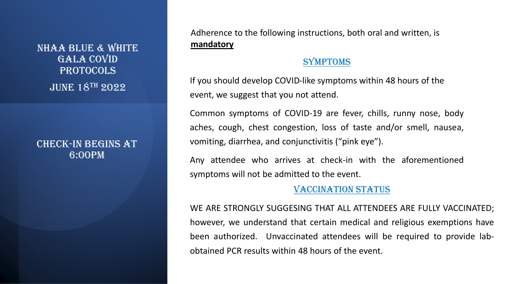NHAA BLUE & WHITE GALA COVID PROTOCOLS JUNE 18TH 2022

#### CHECK-IN BEGINS AT 6:00PM

Adherence to the following instructions, both oral and written, is **mandatory**

#### SYMPTOMS

If you should develop COVID-like symptoms within 48 hours of the event, we suggest that you not attend.

Common symptoms of COVID-19 are fever, chills, runny nose, body aches, cough, chest congestion, loss of taste and/or smell, nausea, vomiting, diarrhea, and conjunctivitis ("pink eye").

Any attendee who arrives at check-in with the aforementioned symptoms will not be admitted to the event.

# VACCINATION STATUS

WE ARE STRONGLY SUGGESING THAT ALL ATTENDEES ARE FULLY VACCINATED; however, we understand that certain medical and religious exemptions have been authorized. Unvaccinated attendees will be required to provide labobtained PCR results within 48 hours of the event.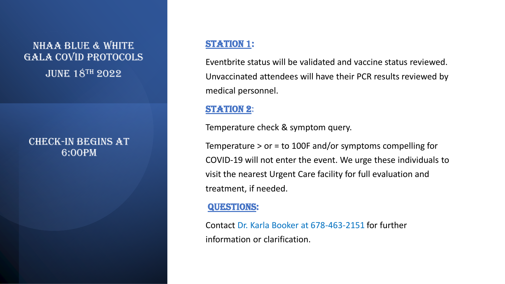# NHAA BLUE & WHITE GALA COVID PROTOCOLS **JUNE 18TH 2022**

## CHECK-IN BEGINS AT 6:00PM

## STATION 1:

Eventbrite status will be validated and vaccine status reviewed. Unvaccinated attendees will have their PCR results reviewed by medical personnel.

## STATION 2:

Temperature check & symptom query.

Temperature > or = to 100F and/or symptoms compelling for COVID-19 will not enter the event. We urge these individuals to visit the nearest Urgent Care facility for full evaluation and treatment, if needed.

#### QUESTIONS:

Contact Dr. Karla Booker at 678-463-2151 for further information or clarification.